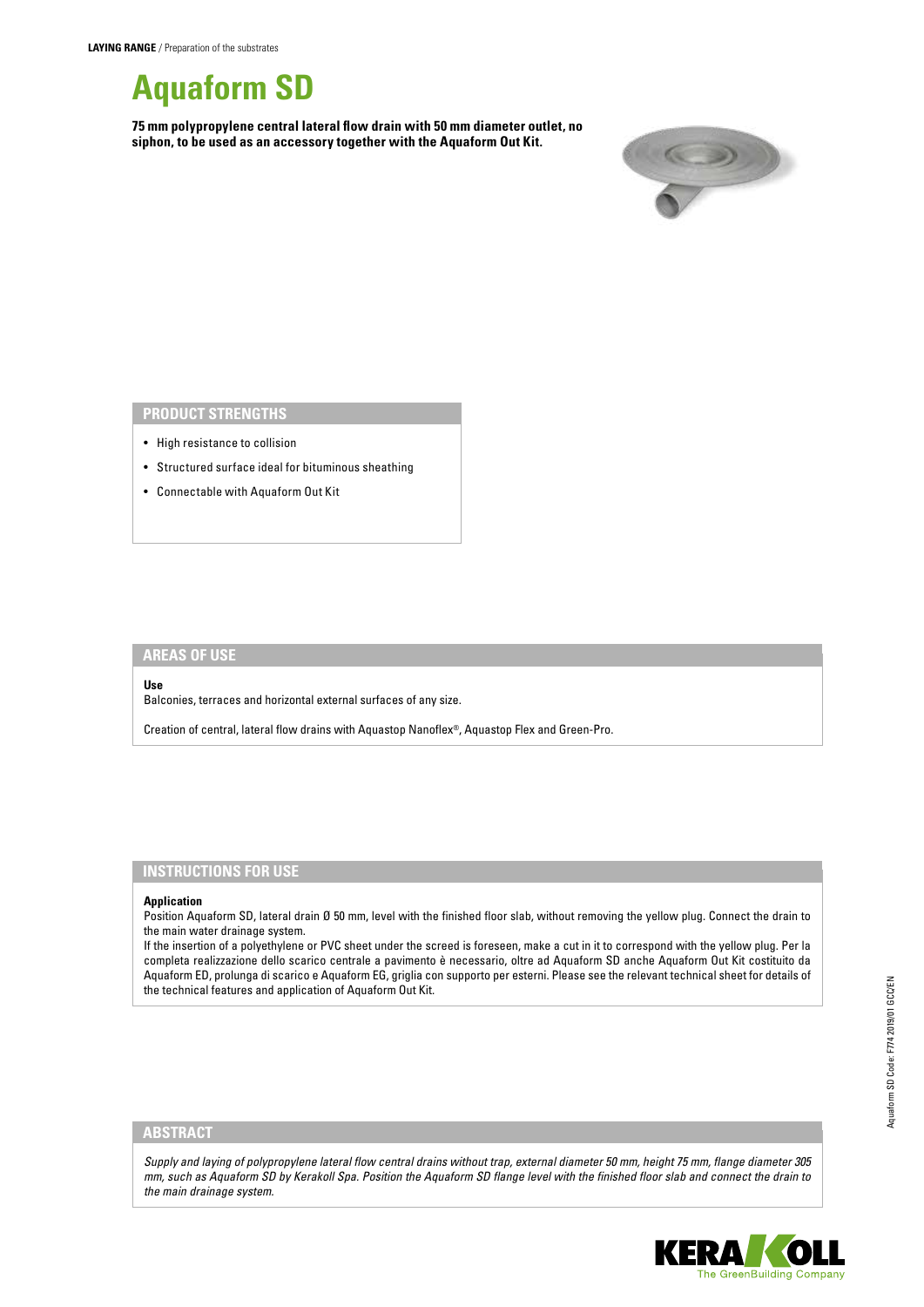

**75 mm polypropylene central lateral flow drain with 50 mm diameter outlet, no siphon, to be used as an accessory together with the Aquaform Out Kit.**



## **PRODUCT STRENGTHS**

- High resistance to collision
- Structured surface ideal for bituminous sheathing
- Connectable with Aquaform Out Kit

## **AREAS OF USE**

#### **Use**

Balconies, terraces and horizontal external surfaces of any size.

Creation of central, lateral flow drains with Aquastop Nanoflex®, Aquastop Flex and Green-Pro.

## **INSTRUCTIONS FOR USE**

#### **Application**

Position Aquaform SD, lateral drain Ø 50 mm, level with the finished floor slab, without removing the yellow plug. Connect the drain to the main water drainage system.

If the insertion of a polyethylene or PVC sheet under the screed is foreseen, make a cut in it to correspond with the yellow plug. Per la completa realizzazione dello scarico centrale a pavimento è necessario, oltre ad Aquaform SD anche Aquaform Out Kit costituito da Aquaform ED, prolunga di scarico e Aquaform EG, griglia con supporto per esterni. Please see the relevant technical sheet for details of the technical features and application of Aquaform Out Kit.

### **ABSTRACT**

*Supply and laying of polypropylene lateral flow central drains without trap, external diameter 50 mm, height 75 mm, flange diameter 305 mm, such as Aquaform SD by Kerakoll Spa. Position the Aquaform SD flange level with the finished floor slab and connect the drain to the main drainage system.*